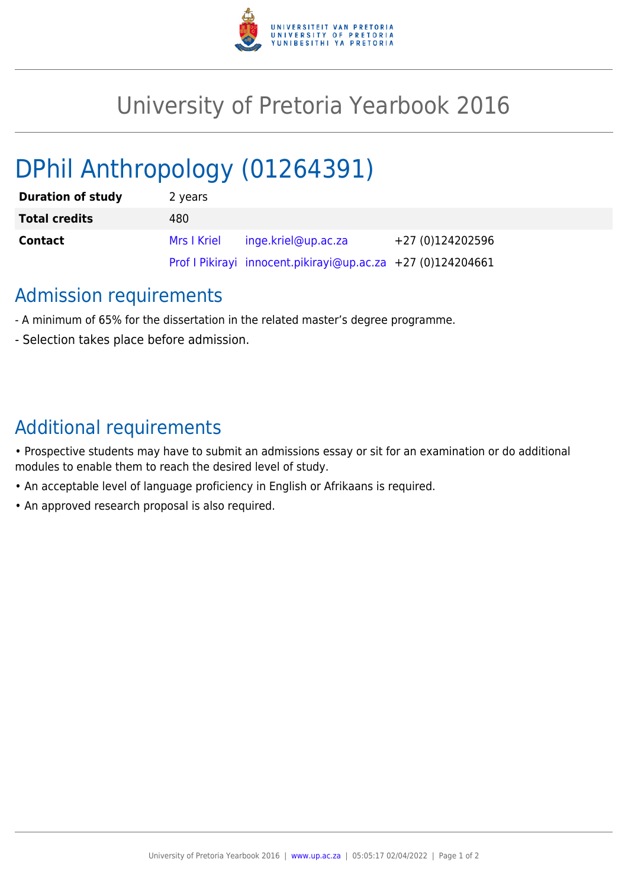

## University of Pretoria Yearbook 2016

# DPhil Anthropology (01264391)

| <b>Duration of study</b> | 2 years     |                                                             |                  |
|--------------------------|-------------|-------------------------------------------------------------|------------------|
| <b>Total credits</b>     | 480         |                                                             |                  |
| <b>Contact</b>           | Mrs I Kriel | inge.kriel@up.ac.za                                         | +27 (0)124202596 |
|                          |             | Prof I Pikirayi innocent.pikirayi@up.ac.za +27 (0)124204661 |                  |

### Admission requirements

- A minimum of 65% for the dissertation in the related master's degree programme.
- Selection takes place before admission.

## Additional requirements

- Prospective students may have to submit an admissions essay or sit for an examination or do additional modules to enable them to reach the desired level of study.
- An acceptable level of language proficiency in English or Afrikaans is required.
- An approved research proposal is also required.